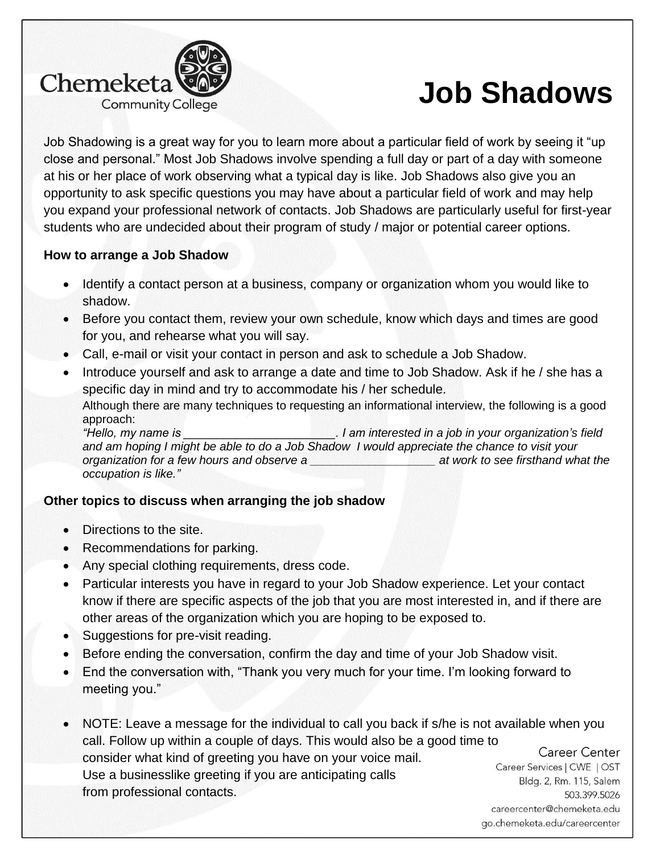

# **Job Shadows**

Job Shadowing is a great way for you to learn more about a particular field of work by seeing it "up close and personal." Most Job Shadows involve spending a full day or part of a day with someone at his or her place of work observing what a typical day is like. Job Shadows also give you an opportunity to ask specific questions you may have about a particular field of work and may help you expand your professional network of contacts. Job Shadows are particularly useful for first-year students who are undecided about their program of study / major or potential career options.

# **How to arrange a Job Shadow**

- Identify a contact person at a business, company or organization whom you would like to shadow.
- Before you contact them, review your own schedule, know which days and times are good for you, and rehearse what you will say.
- Call, e-mail or visit your contact in person and ask to schedule a Job Shadow.
- Introduce yourself and ask to arrange a date and time to Job Shadow. Ask if he / she has a specific day in mind and try to accommodate his / her schedule. Although there are many techniques to requesting an informational interview, the following is a good approach:

*"Hello, my name is \_\_\_\_\_\_\_\_\_\_\_\_\_\_\_\_\_\_\_\_\_\_\_. I am interested in a job in your organization's field and am hoping I might be able to do a Job Shadow I would appreciate the chance to visit your organization for a few hours and observe a \_\_\_\_\_\_\_\_\_\_\_\_\_\_\_\_\_\_\_ at work to see firsthand what the occupation is like."*

# **Other topics to discuss when arranging the job shadow**

- Directions to the site.
- Recommendations for parking.
- Any special clothing requirements, dress code.
- Particular interests you have in regard to your Job Shadow experience. Let your contact know if there are specific aspects of the job that you are most interested in, and if there are other areas of the organization which you are hoping to be exposed to.
- Suggestions for pre-visit reading.
- Before ending the conversation, confirm the day and time of your Job Shadow visit.
- End the conversation with, "Thank you very much for your time. I'm looking forward to meeting you."
- NOTE: Leave a message for the individual to call you back if s/he is not available when you call. Follow up within a couple of days. This would also be a good time to Career Center consider what kind of greeting you have on your voice mail. Use a businesslike greeting if you are anticipating calls from professional contacts.

Career Services | CWE | OST Bldg. 2, Rm. 115, Salem 503.399.5026 careercenter@chemeketa.edu go.chemeketa.edu/careercenter